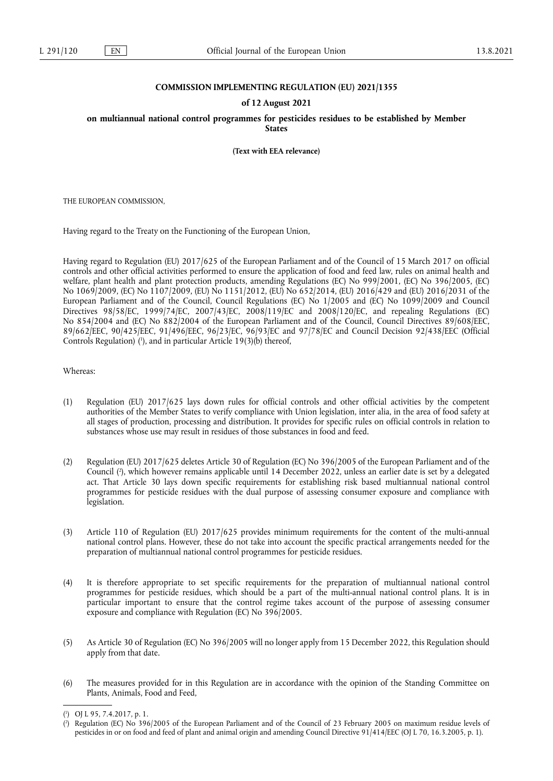### **COMMISSION IMPLEMENTING REGULATION (EU) 2021/1355**

#### **of 12 August 2021**

**on multiannual national control programmes for pesticides residues to be established by Member States** 

**(Text with EEA relevance)** 

THE EUROPEAN COMMISSION,

Having regard to the Treaty on the Functioning of the European Union,

Having regard to Regulation (EU) 2017/625 of the European Parliament and of the Council of 15 March 2017 on official controls and other official activities performed to ensure the application of food and feed law, rules on animal health and welfare, plant health and plant protection products, amending Regulations (EC) No 999/2001, (EC) No 396/2005, (EC) No 1069/2009, (EC) No 1107/2009, (EU) No 1151/2012, (EU) No 652/2014, (EU) 2016/429 and (EU) 2016/2031 of the European Parliament and of the Council, Council Regulations (EC) No 1/2005 and (EC) No 1099/2009 and Council Directives 98/58/EC, 1999/74/EC, 2007/43/EC, 2008/119/EC and 2008/120/EC, and repealing Regulations (EC) No 854/2004 and (EC) No 882/2004 of the European Parliament and of the Council, Council Directives 89/608/EEC, 89/662/EEC, 90/425/EEC, 91/496/EEC, 96/23/EC, 96/93/EC and 97/78/EC and Council Decision 92/438/EEC (Official Controls Regulation) [\(](#page-0-0)1), and in particular Article 19(3)(b) thereof,

<span id="page-0-2"></span>Whereas:

- (1) Regulation (EU) 2017/625 lays down rules for official controls and other official activities by the competent authorities of the Member States to verify compliance with Union legislation, inter alia, in the area of food safety at all stages of production, processing and distribution. It provides for specific rules on official controls in relation to substances whose use may result in residues of those substances in food and feed.
- <span id="page-0-3"></span>(2) Regulation (EU) 2017/625 deletes Article 30 of Regulation (EC) No 396/2005 of the European Parliament and of the Council [\(](#page-0-1) 2 ), which however remains applicable until 14 December 2022, unless an earlier date is set by a delegated act. That Article 30 lays down specific requirements for establishing risk based multiannual national control programmes for pesticide residues with the dual purpose of assessing consumer exposure and compliance with legislation.
- (3) Article 110 of Regulation (EU) 2017/625 provides minimum requirements for the content of the multi-annual national control plans. However, these do not take into account the specific practical arrangements needed for the preparation of multiannual national control programmes for pesticide residues.
- (4) It is therefore appropriate to set specific requirements for the preparation of multiannual national control programmes for pesticide residues, which should be a part of the multi-annual national control plans. It is in particular important to ensure that the control regime takes account of the purpose of assessing consumer exposure and compliance with Regulation (EC) No 396/2005.
- (5) As Article 30 of Regulation (EC) No 396/2005 will no longer apply from 15 December 2022, this Regulation should apply from that date.
- (6) The measures provided for in this Regulation are in accordance with the opinion of the Standing Committee on Plants, Animals, Food and Feed,

<span id="page-0-0"></span>[<sup>\(</sup>](#page-0-2) 1 ) OJ L 95, 7.4.2017, p. 1.

<span id="page-0-1"></span>[<sup>\(</sup>](#page-0-3) 2 ) Regulation (EC) No 396/2005 of the European Parliament and of the Council of 23 February 2005 on maximum residue levels of pesticides in or on food and feed of plant and animal origin and amending Council Directive 91/414/EEC (OJ L 70, 16.3.2005, p. 1).